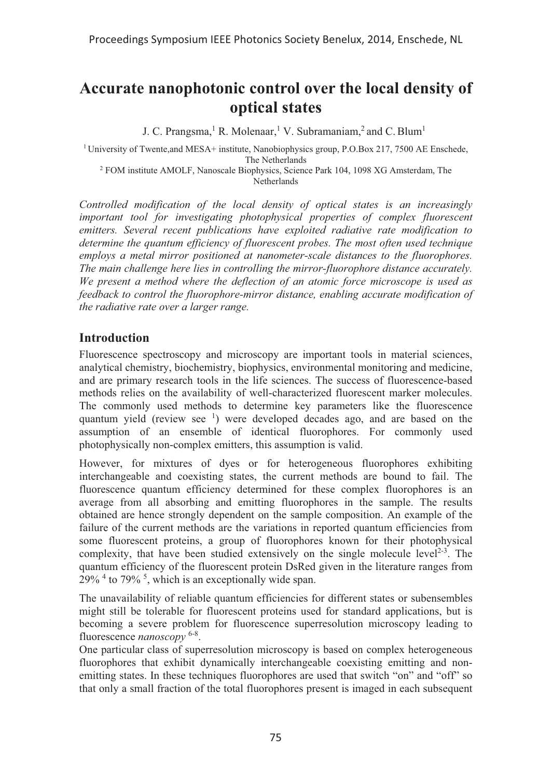# **Accurate nanophotonic control over the local density of optical states**

J. C. Prangsma,<sup>1</sup> R. Molenaar,<sup>1</sup> V. Subramaniam,<sup>2</sup> and C. Blum<sup>1</sup>

<sup>1</sup> University of Twente, and MESA+ institute, Nanobiophysics group, P.O.Box 217, 7500 AE Enschede,

The Netherlands 2 FOM institute AMOLF, Nanoscale Biophysics, Science Park 104, 1098 XG Amsterdam, The Netherlands

*Controlled modification of the local density of optical states is an increasingly important tool for investigating photophysical properties of complex fluorescent emitters. Several recent publications have exploited radiative rate modification to determine the quantum efficiency of fluorescent probes. The most often used technique employs a metal mirror positioned at nanometer-scale distances to the fluorophores. The main challenge here lies in controlling the mirror-fluorophore distance accurately. We present a method where the deflection of an atomic force microscope is used as feedback to control the fluorophore-mirror distance, enabling accurate modification of the radiative rate over a larger range.* 

#### **Introduction**

Fluorescence spectroscopy and microscopy are important tools in material sciences, analytical chemistry, biochemistry, biophysics, environmental monitoring and medicine, and are primary research tools in the life sciences. The success of fluorescence-based methods relies on the availability of well-characterized fluorescent marker molecules. The commonly used methods to determine key parameters like the fluorescence quantum yield (review see <sup>1</sup>) were developed decades ago, and are based on the assumption of an ensemble of identical fluorophores. For commonly used photophysically non-complex emitters, this assumption is valid.

However, for mixtures of dyes or for heterogeneous fluorophores exhibiting interchangeable and coexisting states, the current methods are bound to fail. The fluorescence quantum efficiency determined for these complex fluorophores is an average from all absorbing and emitting fluorophores in the sample. The results obtained are hence strongly dependent on the sample composition. An example of the failure of the current methods are the variations in reported quantum efficiencies from some fluorescent proteins, a group of fluorophores known for their photophysical complexity, that have been studied extensively on the single molecule level<sup>2-3</sup>. The quantum efficiency of the fluorescent protein DsRed given in the literature ranges from 29% 4 to 79% <sup>5</sup> , which is an exceptionally wide span.

The unavailability of reliable quantum efficiencies for different states or subensembles might still be tolerable for fluorescent proteins used for standard applications, but is becoming a severe problem for fluorescence superresolution microscopy leading to fluorescence *nanoscopy* 6-8.

One particular class of superresolution microscopy is based on complex heterogeneous fluorophores that exhibit dynamically interchangeable coexisting emitting and nonemitting states. In these techniques fluorophores are used that switch "on" and "off" so that only a small fraction of the total fluorophores present is imaged in each subsequent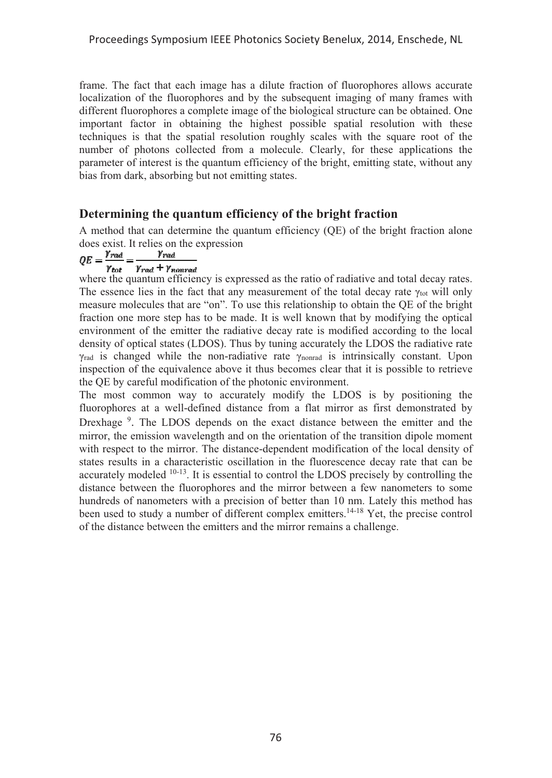frame. The fact that each image has a dilute fraction of fluorophores allows accurate localization of the fluorophores and by the subsequent imaging of many frames with different fluorophores a complete image of the biological structure can be obtained. One important factor in obtaining the highest possible spatial resolution with these techniques is that the spatial resolution roughly scales with the square root of the number of photons collected from a molecule. Clearly, for these applications the parameter of interest is the quantum efficiency of the bright, emitting state, without any bias from dark, absorbing but not emitting states.

#### **Determining the quantum efficiency of the bright fraction**

A method that can determine the quantum efficiency (QE) of the bright fraction alone does exist. It relies on the expression<br>  $OE = \frac{\gamma_{rad}}{\gamma_{rad}} = \frac{\gamma_{rad}}{\gamma_{rad}}$ 

 $\gamma_{tot}$   $\gamma_{rad}$  +  $\gamma_{nonrad}$ 

where the quantum efficiency is expressed as the ratio of radiative and total decay rates. The essence lies in the fact that any measurement of the total decay rate  $\gamma_{\text{tot}}$  will only measure molecules that are "on". To use this relationship to obtain the QE of the bright fraction one more step has to be made. It is well known that by modifying the optical environment of the emitter the radiative decay rate is modified according to the local density of optical states (LDOS). Thus by tuning accurately the LDOS the radiative rate  $\gamma_{rad}$  is changed while the non-radiative rate  $\gamma_{nonrad}$  is intrinsically constant. Upon inspection of the equivalence above it thus becomes clear that it is possible to retrieve the QE by careful modification of the photonic environment.

The most common way to accurately modify the LDOS is by positioning the fluorophores at a well-defined distance from a flat mirror as first demonstrated by Drexhage<sup>9</sup>. The LDOS depends on the exact distance between the emitter and the mirror, the emission wavelength and on the orientation of the transition dipole moment with respect to the mirror. The distance-dependent modification of the local density of states results in a characteristic oscillation in the fluorescence decay rate that can be accurately modeled 10-13. It is essential to control the LDOS precisely by controlling the distance between the fluorophores and the mirror between a few nanometers to some hundreds of nanometers with a precision of better than 10 nm. Lately this method has been used to study a number of different complex emitters.<sup>14-18</sup> Yet, the precise control of the distance between the emitters and the mirror remains a challenge.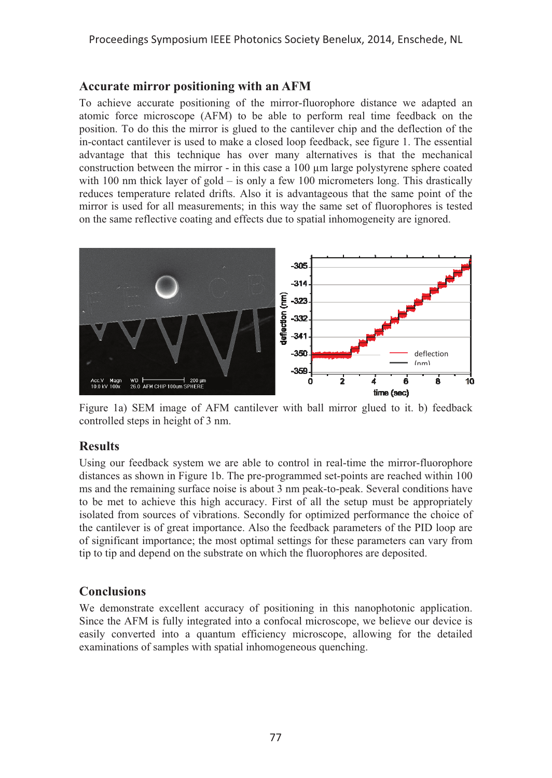### **Accurate mirror positioning with an AFM**

To achieve accurate positioning of the mirror-fluorophore distance we adapted an atomic force microscope (AFM) to be able to perform real time feedback on the position. To do this the mirror is glued to the cantilever chip and the deflection of the in-contact cantilever is used to make a closed loop feedback, see figure 1. The essential advantage that this technique has over many alternatives is that the mechanical construction between the mirror - in this case a 100 μm large polystyrene sphere coated with 100 nm thick layer of gold – is only a few 100 micrometers long. This drastically reduces temperature related drifts. Also it is advantageous that the same point of the mirror is used for all measurements; in this way the same set of fluorophores is tested on the same reflective coating and effects due to spatial inhomogeneity are ignored.



Figure 1a) SEM image of AFM cantilever with ball mirror glued to it. b) feedback controlled steps in height of 3 nm.

# **Results**

Using our feedback system we are able to control in real-time the mirror-fluorophore distances as shown in Figure 1b. The pre-programmed set-points are reached within 100 ms and the remaining surface noise is about 3 nm peak-to-peak. Several conditions have to be met to achieve this high accuracy. First of all the setup must be appropriately isolated from sources of vibrations. Secondly for optimized performance the choice of the cantilever is of great importance. Also the feedback parameters of the PID loop are of significant importance; the most optimal settings for these parameters can vary from tip to tip and depend on the substrate on which the fluorophores are deposited.

# **Conclusions**

We demonstrate excellent accuracy of positioning in this nanophotonic application. Since the AFM is fully integrated into a confocal microscope, we believe our device is easily converted into a quantum efficiency microscope, allowing for the detailed examinations of samples with spatial inhomogeneous quenching.